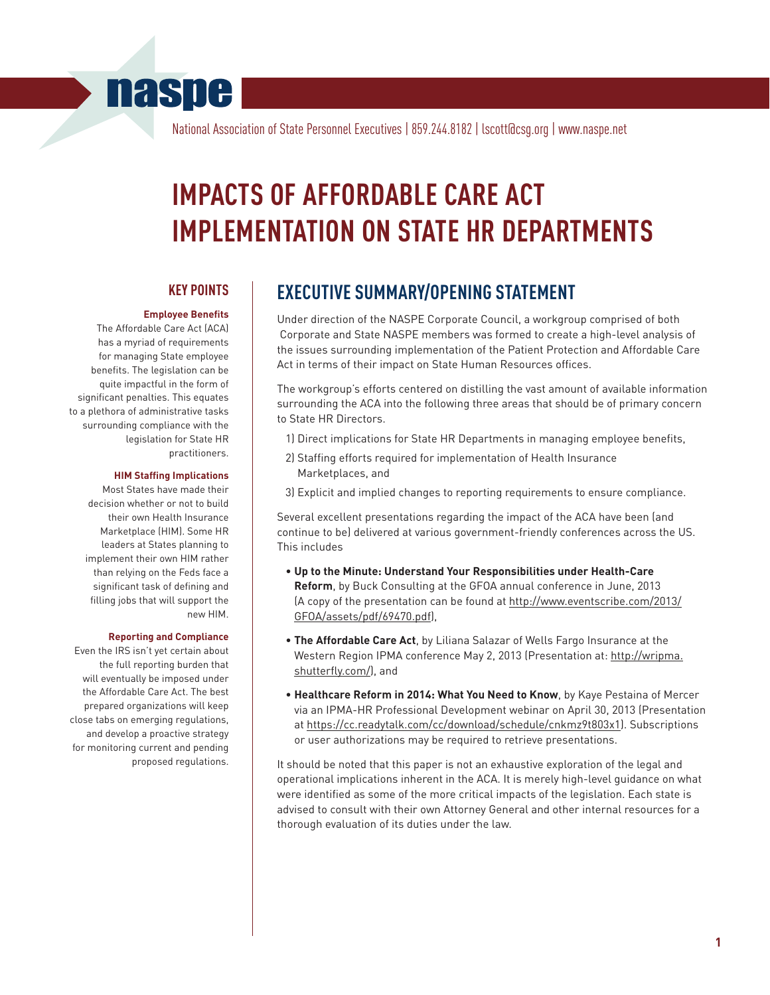# **naspe**

National Association of State Personnel Executives | 859.244.8182 | lscott@csg.org | www.naspe.net

# **IMPACTS OF AFFORDABLE CARE ACT IMPLEMENTATION ON STATE HR DEPARTMENTS**

### **KEY POINTS**

#### **Employee Benefits**

The Affordable Care Act (ACA) has a myriad of requirements for managing State employee benefits. The legislation can be quite impactful in the form of significant penalties. This equates to a plethora of administrative tasks surrounding compliance with the legislation for State HR practitioners.

#### **HIM Staffing Implications**

Most States have made their decision whether or not to build their own Health Insurance Marketplace (HIM). Some HR leaders at States planning to implement their own HIM rather than relying on the Feds face a significant task of defining and filling jobs that will support the new HIM.

#### **Reporting and Compliance**

Even the IRS isn't yet certain about the full reporting burden that will eventually be imposed under the Affordable Care Act. The best prepared organizations will keep close tabs on emerging regulations, and develop a proactive strategy for monitoring current and pending proposed regulations.

# **EXECUTIVE SUMMARY/OPENING STATEMENT**

Under direction of the NASPE Corporate Council, a workgroup comprised of both Corporate and State NASPE members was formed to create a high-level analysis of the issues surrounding implementation of the Patient Protection and Affordable Care Act in terms of their impact on State Human Resources offices.

The workgroup's efforts centered on distilling the vast amount of available information surrounding the ACA into the following three areas that should be of primary concern to State HR Directors.

- 1) Direct implications for State HR Departments in managing employee benefits,
- 2) Staffing efforts required for implementation of Health Insurance Marketplaces, and
- 3) Explicit and implied changes to reporting requirements to ensure compliance.

Several excellent presentations regarding the impact of the ACA have been (and continue to be) delivered at various government-friendly conferences across the US. This includes

- **Up to the Minute: Understand Your Responsibilities under Health-Care Reform**, by Buck Consulting at the GFOA annual conference in June, 2013 (A copy of the presentation can be found at http://www.eventscribe.com/2013/ GFOA/assets/pdf/69470.pdf),
- **The Affordable Care Act**, by Liliana Salazar of Wells Fargo Insurance at the Western Region IPMA conference May 2, 2013 (Presentation at: http://wripma. shutterfly.com/), and
- **Healthcare Reform in 2014: What You Need to Know**, by Kaye Pestaina of Mercer via an IPMA-HR Professional Development webinar on April 30, 2013 (Presentation at https://cc.readytalk.com/cc/download/schedule/cnkmz9t803x1). Subscriptions or user authorizations may be required to retrieve presentations.

It should be noted that this paper is not an exhaustive exploration of the legal and operational implications inherent in the ACA. It is merely high-level guidance on what were identified as some of the more critical impacts of the legislation. Each state is advised to consult with their own Attorney General and other internal resources for a thorough evaluation of its duties under the law.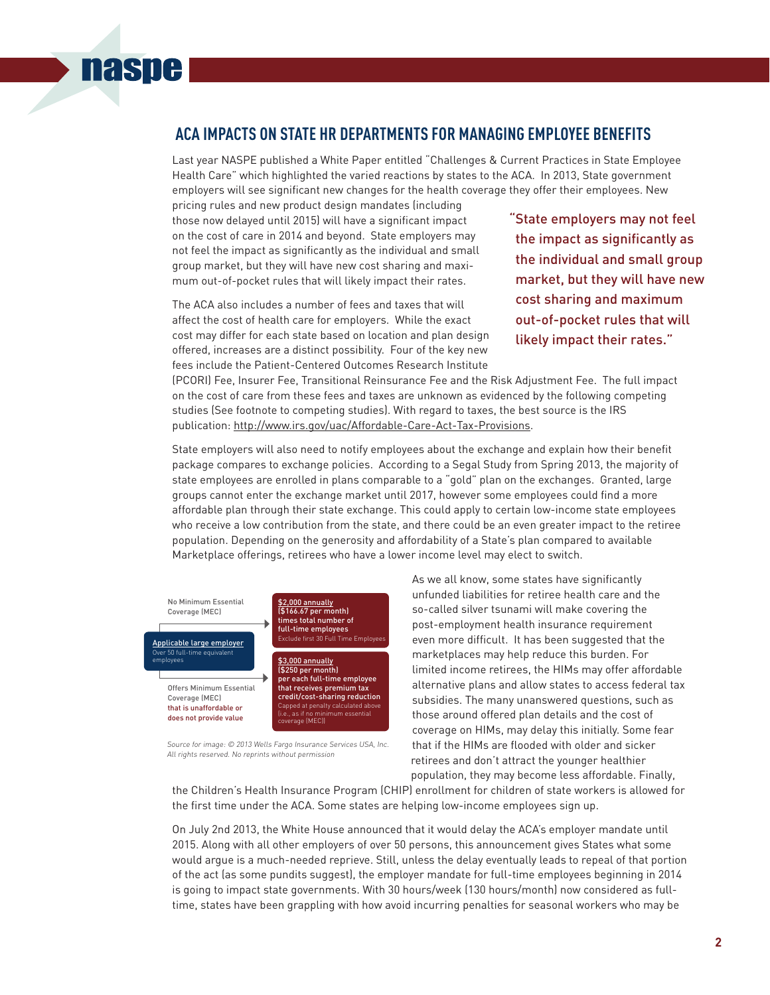# **ACA IMPACTS ON STATE HR DEPARTMENTS FOR MANAGING EMPLOYEE BENEFITS**

Last year NASPE published a White Paper entitled "Challenges & Current Practices in State Employee Health Care" which highlighted the varied reactions by states to the ACA. In 2013, State government employers will see significant new changes for the health coverage they offer their employees. New

pricing rules and new product design mandates (including those now delayed until 2015) will have a significant impact on the cost of care in 2014 and beyond. State employers may not feel the impact as significantly as the individual and small group market, but they will have new cost sharing and maximum out-of-pocket rules that will likely impact their rates.

**naspe** 

The ACA also includes a number of fees and taxes that will affect the cost of health care for employers. While the exact cost may differ for each state based on location and plan design offered, increases are a distinct possibility. Four of the key new fees include the Patient-Centered Outcomes Research Institute

"State employers may not feel the impact as significantly as the individual and small group market, but they will have new cost sharing and maximum out-of-pocket rules that will likely impact their rates."

(PCORI) Fee, Insurer Fee, Transitional Reinsurance Fee and the Risk Adjustment Fee. The full impact on the cost of care from these fees and taxes are unknown as evidenced by the following competing studies (See footnote to competing studies). With regard to taxes, the best source is the IRS publication: http://www.irs.gov/uac/Affordable-Care-Act-Tax-Provisions.

State employers will also need to notify employees about the exchange and explain how their benefit package compares to exchange policies. According to a Segal Study from Spring 2013, the majority of state employees are enrolled in plans comparable to a "gold" plan on the exchanges. Granted, large groups cannot enter the exchange market until 2017, however some employees could find a more affordable plan through their state exchange. This could apply to certain low-income state employees who receive a low contribution from the state, and there could be an even greater impact to the retiree population. Depending on the generosity and affordability of a State's plan compared to available Marketplace offerings, retirees who have a lower income level may elect to switch.



Source for image: © 2013 Wells Fargo Insurance Services USA, Inc. All rights reserved. No reprints without permission

As we all know, some states have significantly unfunded liabilities for retiree health care and the so-called silver tsunami will make covering the post-employment health insurance requirement even more difficult. It has been suggested that the marketplaces may help reduce this burden. For limited income retirees, the HIMs may offer affordable alternative plans and allow states to access federal tax subsidies. The many unanswered questions, such as those around offered plan details and the cost of coverage on HIMs, may delay this initially. Some fear that if the HIMs are flooded with older and sicker retirees and don't attract the younger healthier population, they may become less affordable. Finally,

the Children's Health Insurance Program (CHIP) enrollment for children of state workers is allowed for the first time under the ACA. Some states are helping low-income employees sign up.

On July 2nd 2013, the White House announced that it would delay the ACA's employer mandate until 2015. Along with all other employers of over 50 persons, this announcement gives States what some would argue is a much-needed reprieve. Still, unless the delay eventually leads to repeal of that portion of the act (as some pundits suggest), the employer mandate for full-time employees beginning in 2014 is going to impact state governments. With 30 hours/week (130 hours/month) now considered as fulltime, states have been grappling with how avoid incurring penalties for seasonal workers who may be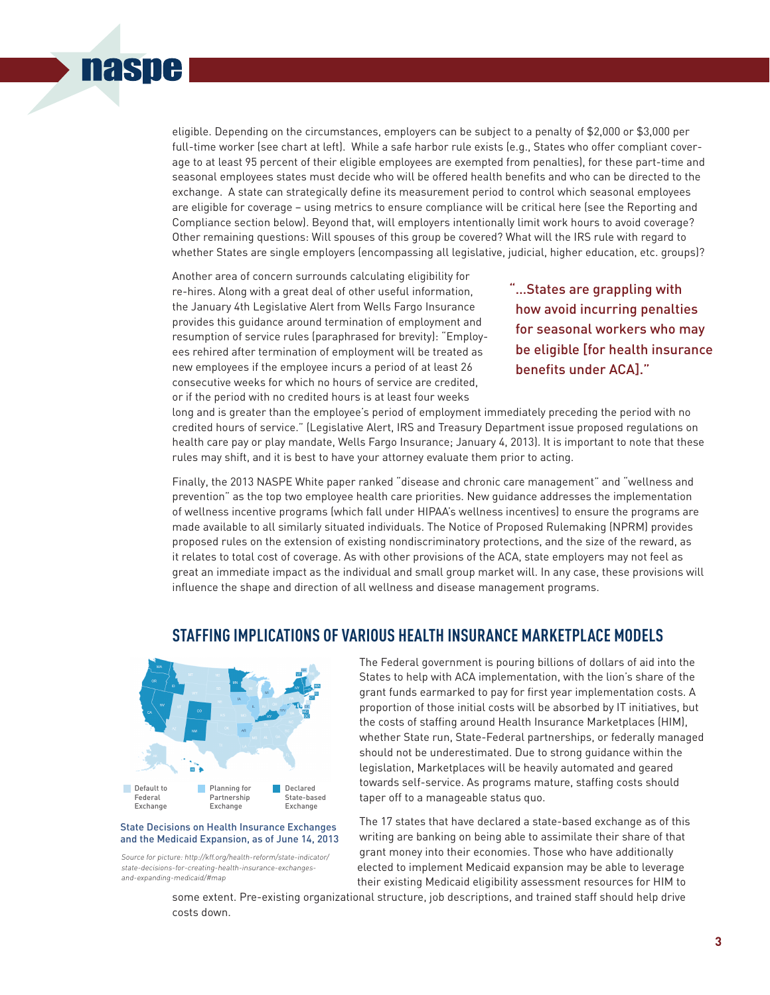

eligible. Depending on the circumstances, employers can be subject to a penalty of \$2,000 or \$3,000 per full-time worker (see chart at left). While a safe harbor rule exists (e.g., States who offer compliant coverage to at least 95 percent of their eligible employees are exempted from penalties), for these part-time and seasonal employees states must decide who will be offered health benefits and who can be directed to the exchange. A state can strategically define its measurement period to control which seasonal employees are eligible for coverage – using metrics to ensure compliance will be critical here (see the Reporting and Compliance section below). Beyond that, will employers intentionally limit work hours to avoid coverage? Other remaining questions: Will spouses of this group be covered? What will the IRS rule with regard to whether States are single employers (encompassing all legislative, judicial, higher education, etc. groups)?

Another area of concern surrounds calculating eligibility for re-hires. Along with a great deal of other useful information, the January 4th Legislative Alert from WeIls Fargo Insurance provides this guidance around termination of employment and resumption of service rules (paraphrased for brevity): "Employees rehired after termination of employment will be treated as new employees if the employee incurs a period of at least 26 consecutive weeks for which no hours of service are credited, or if the period with no credited hours is at least four weeks

"…States are grappling with how avoid incurring penalties for seasonal workers who may be eligible [for health insurance benefits under ACA]."

long and is greater than the employee's period of employment immediately preceding the period with no credited hours of service." (Legislative Alert, IRS and Treasury Department issue proposed regulations on health care pay or play mandate, Wells Fargo Insurance; January 4, 2013). It is important to note that these rules may shift, and it is best to have your attorney evaluate them prior to acting.

Finally, the 2013 NASPE White paper ranked "disease and chronic care management" and "wellness and prevention" as the top two employee health care priorities. New guidance addresses the implementation of wellness incentive programs (which fall under HIPAA's wellness incentives) to ensure the programs are made available to all similarly situated individuals. The Notice of Proposed Rulemaking (NPRM) provides proposed rules on the extension of existing nondiscriminatory protections, and the size of the reward, as it relates to total cost of coverage. As with other provisions of the ACA, state employers may not feel as great an immediate impact as the individual and small group market will. In any case, these provisions will influence the shape and direction of all wellness and disease management programs.



#### State Decisions on Health Insurance Exchanges and the Medicaid Expansion, as of June 14, 2013

Source for picture: http://kff.org/health-reform/state-indicator/ state-decisions-for-creating-health-insurance-exchangesand-expanding-medicaid/#map

# **STAFFING IMPLICATIONS OF VARIOUS HEALTH INSURANCE MARKETPLACE MODELS**

The Federal government is pouring billions of dollars of aid into the States to help with ACA implementation, with the lion's share of the grant funds earmarked to pay for first year implementation costs. A proportion of those initial costs will be absorbed by IT initiatives, but the costs of staffing around Health Insurance Marketplaces (HIM), whether State run, State-Federal partnerships, or federally managed should not be underestimated. Due to strong guidance within the legislation, Marketplaces will be heavily automated and geared towards self-service. As programs mature, staffing costs should taper off to a manageable status quo.

The 17 states that have declared a state-based exchange as of this writing are banking on being able to assimilate their share of that grant money into their economies. Those who have additionally elected to implement Medicaid expansion may be able to leverage their existing Medicaid eligibility assessment resources for HIM to

some extent. Pre-existing organizational structure, job descriptions, and trained staff should help drive costs down.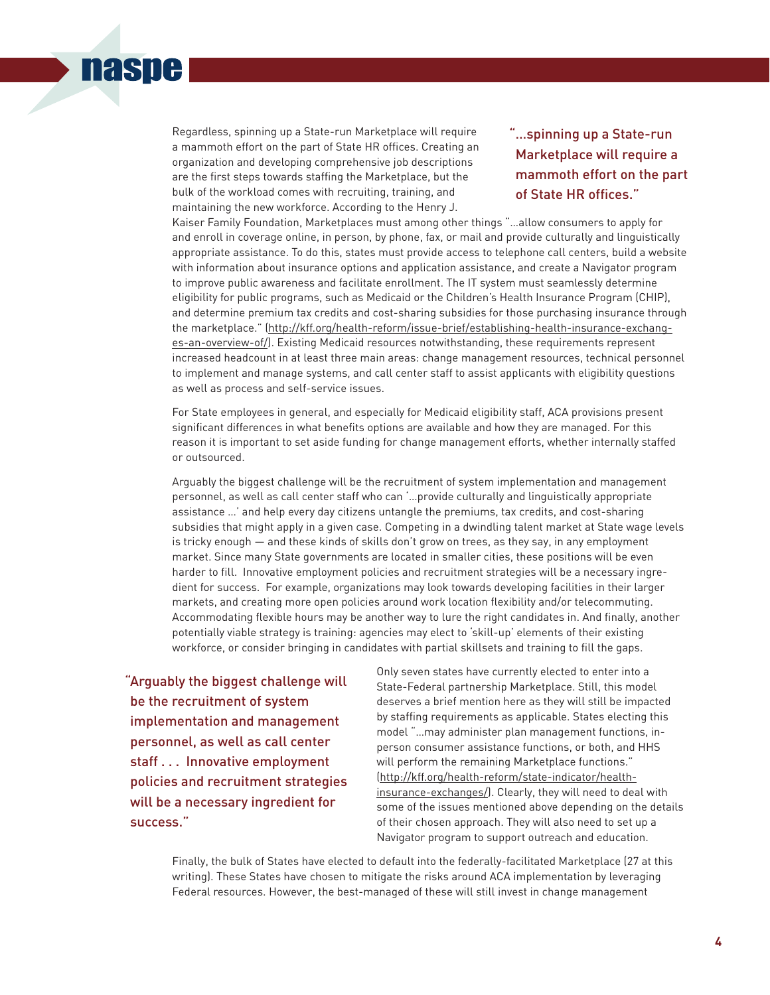

Regardless, spinning up a State-run Marketplace will require a mammoth effort on the part of State HR offices. Creating an organization and developing comprehensive job descriptions are the first steps towards staffing the Marketplace, but the bulk of the workload comes with recruiting, training, and maintaining the new workforce. According to the Henry J.

"…spinning up a State-run Marketplace will require a mammoth effort on the part of State HR offices."

Kaiser Family Foundation, Marketplaces must among other things "…allow consumers to apply for and enroll in coverage online, in person, by phone, fax, or mail and provide culturally and linguistically appropriate assistance. To do this, states must provide access to telephone call centers, build a website with information about insurance options and application assistance, and create a Navigator program to improve public awareness and facilitate enrollment. The IT system must seamlessly determine eligibility for public programs, such as Medicaid or the Children's Health Insurance Program (CHIP), and determine premium tax credits and cost-sharing subsidies for those purchasing insurance through the marketplace." (http://kff.org/health-reform/issue-brief/establishing-health-insurance-exchanges-an-overview-of/). Existing Medicaid resources notwithstanding, these requirements represent increased headcount in at least three main areas: change management resources, technical personnel to implement and manage systems, and call center staff to assist applicants with eligibility questions as well as process and self-service issues.

For State employees in general, and especially for Medicaid eligibility staff, ACA provisions present significant differences in what benefits options are available and how they are managed. For this reason it is important to set aside funding for change management efforts, whether internally staffed or outsourced.

Arguably the biggest challenge will be the recruitment of system implementation and management personnel, as well as call center staff who can '…provide culturally and linguistically appropriate assistance …' and help every day citizens untangle the premiums, tax credits, and cost-sharing subsidies that might apply in a given case. Competing in a dwindling talent market at State wage levels is tricky enough — and these kinds of skills don't grow on trees, as they say, in any employment market. Since many State governments are located in smaller cities, these positions will be even harder to fill. Innovative employment policies and recruitment strategies will be a necessary ingredient for success. For example, organizations may look towards developing facilities in their larger markets, and creating more open policies around work location flexibility and/or telecommuting. Accommodating flexible hours may be another way to lure the right candidates in. And finally, another potentially viable strategy is training: agencies may elect to 'skill-up' elements of their existing workforce, or consider bringing in candidates with partial skillsets and training to fill the gaps.

"Arguably the biggest challenge will be the recruitment of system implementation and management personnel, as well as call center staff . . . Innovative employment policies and recruitment strategies will be a necessary ingredient for success."

Only seven states have currently elected to enter into a State-Federal partnership Marketplace. Still, this model deserves a brief mention here as they will still be impacted by staffing requirements as applicable. States electing this model "…may administer plan management functions, inperson consumer assistance functions, or both, and HHS will perform the remaining Marketplace functions." (http://kff.org/health-reform/state-indicator/healthinsurance-exchanges/). Clearly, they will need to deal with some of the issues mentioned above depending on the details of their chosen approach. They will also need to set up a Navigator program to support outreach and education.

Finally, the bulk of States have elected to default into the federally-facilitated Marketplace (27 at this writing). These States have chosen to mitigate the risks around ACA implementation by leveraging Federal resources. However, the best-managed of these will still invest in change management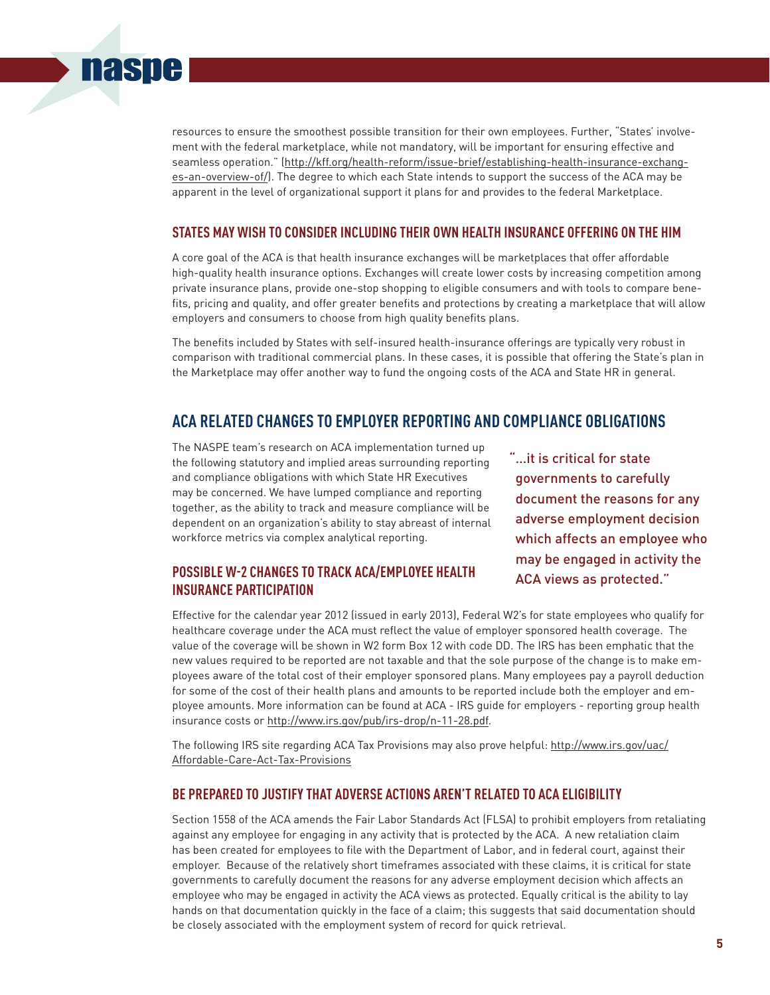

#### **STATES MAY WISH TO CONSIDER INCLUDING THEIR OWN HEALTH INSURANCE OFFERING ON THE HIM**

A core goal of the ACA is that health insurance exchanges will be marketplaces that offer affordable high-quality health insurance options. Exchanges will create lower costs by increasing competition among private insurance plans, provide one-stop shopping to eligible consumers and with tools to compare benefits, pricing and quality, and offer greater benefits and protections by creating a marketplace that will allow employers and consumers to choose from high quality benefits plans.

The benefits included by States with self-insured health-insurance offerings are typically very robust in comparison with traditional commercial plans. In these cases, it is possible that offering the State's plan in the Marketplace may offer another way to fund the ongoing costs of the ACA and State HR in general.

# **ACA RELATED CHANGES TO EMPLOYER REPORTING AND COMPLIANCE OBLIGATIONS**

The NASPE team's research on ACA implementation turned up the following statutory and implied areas surrounding reporting and compliance obligations with which State HR Executives may be concerned. We have lumped compliance and reporting together, as the ability to track and measure compliance will be dependent on an organization's ability to stay abreast of internal workforce metrics via complex analytical reporting.

**naspe** 

### **POSSIBLE W-2 CHANGES TO TRACK ACA/EMPLOYEE HEALTH INSURANCE PARTICIPATION**

... it is critical for state governments to carefully document the reasons for any adverse employment decision which affects an employee who may be engaged in activity the ACA views as protected."

Effective for the calendar year 2012 (issued in early 2013), Federal W2's for state employees who qualify for healthcare coverage under the ACA must reflect the value of employer sponsored health coverage. The value of the coverage will be shown in W2 form Box 12 with code DD. The IRS has been emphatic that the new values required to be reported are not taxable and that the sole purpose of the change is to make employees aware of the total cost of their employer sponsored plans. Many employees pay a payroll deduction for some of the cost of their health plans and amounts to be reported include both the employer and employee amounts. More information can be found at ACA - IRS guide for employers - reporting group health insurance costs or http://www.irs.gov/pub/irs-drop/n-11-28.pdf.

The following IRS site regarding ACA Tax Provisions may also prove helpful: http://www.irs.gov/uac/ Affordable-Care-Act-Tax-Provisions

#### **BE PREPARED TO JUSTIFY THAT ADVERSE ACTIONS AREN'T RELATED TO ACA ELIGIBILITY**

Section 1558 of the ACA amends the Fair Labor Standards Act (FLSA) to prohibit employers from retaliating against any employee for engaging in any activity that is protected by the ACA. A new retaliation claim has been created for employees to file with the Department of Labor, and in federal court, against their employer. Because of the relatively short timeframes associated with these claims, it is critical for state governments to carefully document the reasons for any adverse employment decision which affects an employee who may be engaged in activity the ACA views as protected. Equally critical is the ability to lay hands on that documentation quickly in the face of a claim; this suggests that said documentation should be closely associated with the employment system of record for quick retrieval.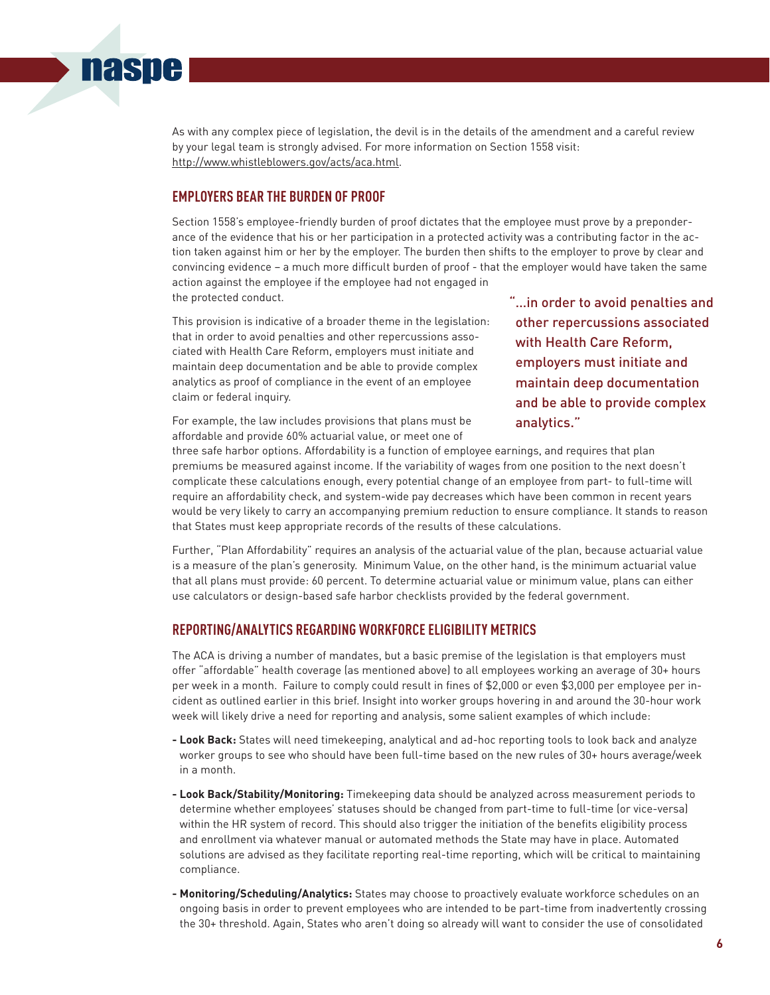#### As with any complex piece of legislation, the devil is in the details of the amendment and a careful review by your legal team is strongly advised. For more information on Section 1558 visit: http://www.whistleblowers.gov/acts/aca.html.

#### **EMPLOYERS BEAR THE BURDEN OF PROOF**

**naspe** 

Section 1558's employee-friendly burden of proof dictates that the employee must prove by a preponderance of the evidence that his or her participation in a protected activity was a contributing factor in the action taken against him or her by the employer. The burden then shifts to the employer to prove by clear and convincing evidence – a much more difficult burden of proof - that the employer would have taken the same action against the employee if the employee had not engaged in the protected conduct.

This provision is indicative of a broader theme in the legislation: that in order to avoid penalties and other repercussions associated with Health Care Reform, employers must initiate and maintain deep documentation and be able to provide complex analytics as proof of compliance in the event of an employee claim or federal inquiry.

For example, the law includes provisions that plans must be affordable and provide 60% actuarial value, or meet one of

"…in order to avoid penalties and other repercussions associated with Health Care Reform, employers must initiate and maintain deep documentation and be able to provide complex analytics."

three safe harbor options. Affordability is a function of employee earnings, and requires that plan premiums be measured against income. If the variability of wages from one position to the next doesn't complicate these calculations enough, every potential change of an employee from part- to full-time will require an affordability check, and system-wide pay decreases which have been common in recent years would be very likely to carry an accompanying premium reduction to ensure compliance. It stands to reason that States must keep appropriate records of the results of these calculations.

Further, "Plan Affordability" requires an analysis of the actuarial value of the plan, because actuarial value is a measure of the plan's generosity. Minimum Value, on the other hand, is the minimum actuarial value that all plans must provide: 60 percent. To determine actuarial value or minimum value, plans can either use calculators or design-based safe harbor checklists provided by the federal government.

#### **REPORTING/ANALYTICS REGARDING WORKFORCE ELIGIBILITY METRICS**

The ACA is driving a number of mandates, but a basic premise of the legislation is that employers must offer "affordable" health coverage (as mentioned above) to all employees working an average of 30+ hours per week in a month. Failure to comply could result in fines of \$2,000 or even \$3,000 per employee per incident as outlined earlier in this brief. Insight into worker groups hovering in and around the 30-hour work week will likely drive a need for reporting and analysis, some salient examples of which include:

- **- Look Back:** States will need timekeeping, analytical and ad-hoc reporting tools to look back and analyze worker groups to see who should have been full-time based on the new rules of 30+ hours average/week in a month.
- **- Look Back/Stability/Monitoring:** Timekeeping data should be analyzed across measurement periods to determine whether employees' statuses should be changed from part-time to full-time (or vice-versa) within the HR system of record. This should also trigger the initiation of the benefits eligibility process and enrollment via whatever manual or automated methods the State may have in place. Automated solutions are advised as they facilitate reporting real-time reporting, which will be critical to maintaining compliance.
- **- Monitoring/Scheduling/Analytics:** States may choose to proactively evaluate workforce schedules on an ongoing basis in order to prevent employees who are intended to be part-time from inadvertently crossing the 30+ threshold. Again, States who aren't doing so already will want to consider the use of consolidated